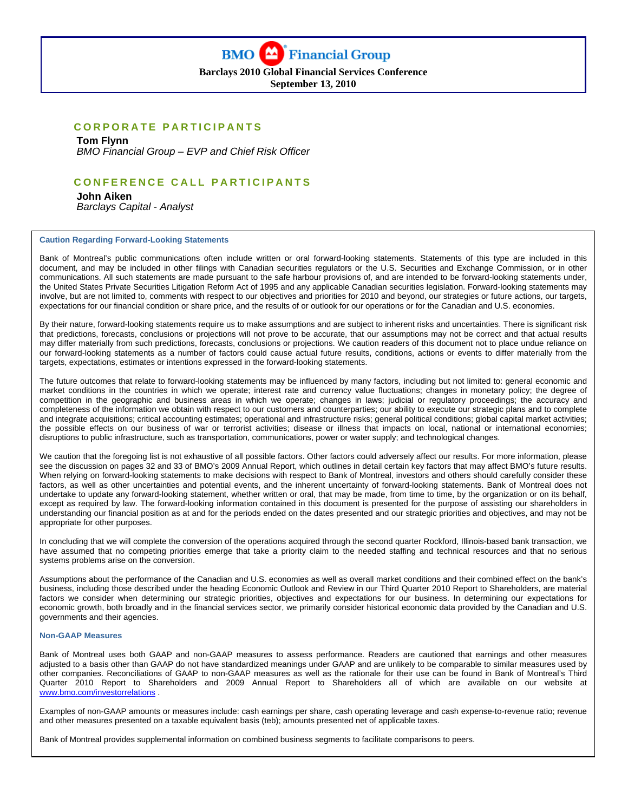

**Barclays 2010 Global Financial Services Conference** 

**September 13, 2010**

#### **CORPORATE PARTICIPANTS**

 **Tom Flynn**   *BMO Financial Group – EVP and Chief Risk Officer* 

# **CONFERENCE CALL PARTICIPANTS**

 **John Aiken**   *Barclays Capital - Analyst* 

#### **Caution Regarding Forward-Looking Statements**

Bank of Montreal's public communications often include written or oral forward-looking statements. Statements of this type are included in this document, and may be included in other filings with Canadian securities regulators or the U.S. Securities and Exchange Commission, or in other communications. All such statements are made pursuant to the safe harbour provisions of, and are intended to be forward-looking statements under, the United States Private Securities Litigation Reform Act of 1995 and any applicable Canadian securities legislation. Forward-looking statements may involve, but are not limited to, comments with respect to our objectives and priorities for 2010 and beyond, our strategies or future actions, our targets, expectations for our financial condition or share price, and the results of or outlook for our operations or for the Canadian and U.S. economies.

By their nature, forward-looking statements require us to make assumptions and are subject to inherent risks and uncertainties. There is significant risk that predictions, forecasts, conclusions or projections will not prove to be accurate, that our assumptions may not be correct and that actual results may differ materially from such predictions, forecasts, conclusions or projections. We caution readers of this document not to place undue reliance on our forward-looking statements as a number of factors could cause actual future results, conditions, actions or events to differ materially from the targets, expectations, estimates or intentions expressed in the forward-looking statements.

The future outcomes that relate to forward-looking statements may be influenced by many factors, including but not limited to: general economic and market conditions in the countries in which we operate; interest rate and currency value fluctuations; changes in monetary policy; the degree of competition in the geographic and business areas in which we operate; changes in laws; judicial or regulatory proceedings; the accuracy and completeness of the information we obtain with respect to our customers and counterparties; our ability to execute our strategic plans and to complete and integrate acquisitions; critical accounting estimates; operational and infrastructure risks; general political conditions; global capital market activities; the possible effects on our business of war or terrorist activities; disease or illness that impacts on local, national or international economies; disruptions to public infrastructure, such as transportation, communications, power or water supply; and technological changes.

We caution that the foregoing list is not exhaustive of all possible factors. Other factors could adversely affect our results. For more information, please see the discussion on pages 32 and 33 of BMO's 2009 Annual Report, which outlines in detail certain key factors that may affect BMO's future results. When relying on forward-looking statements to make decisions with respect to Bank of Montreal, investors and others should carefully consider these factors, as well as other uncertainties and potential events, and the inherent uncertainty of forward-looking statements. Bank of Montreal does not undertake to update any forward-looking statement, whether written or oral, that may be made, from time to time, by the organization or on its behalf, except as required by law. The forward-looking information contained in this document is presented for the purpose of assisting our shareholders in understanding our financial position as at and for the periods ended on the dates presented and our strategic priorities and objectives, and may not be appropriate for other purposes.

In concluding that we will complete the conversion of the operations acquired through the second quarter Rockford, Illinois-based bank transaction, we have assumed that no competing priorities emerge that take a priority claim to the needed staffing and technical resources and that no serious systems problems arise on the conversion.

Assumptions about the performance of the Canadian and U.S. economies as well as overall market conditions and their combined effect on the bank's business, including those described under the heading Economic Outlook and Review in our Third Quarter 2010 Report to Shareholders, are material factors we consider when determining our strategic priorities, objectives and expectations for our business. In determining our expectations for economic growth, both broadly and in the financial services sector, we primarily consider historical economic data provided by the Canadian and U.S. governments and their agencies.

#### **Non-GAAP Measures**

Bank of Montreal uses both GAAP and non-GAAP measures to assess performance. Readers are cautioned that earnings and other measures adjusted to a basis other than GAAP do not have standardized meanings under GAAP and are unlikely to be comparable to similar measures used by other companies. Reconciliations of GAAP to non-GAAP measures as well as the rationale for their use can be found in Bank of Montreal's Third Quarter 2010 Report to Shareholders and 2009 Annual Report to Shareholders all of which are available on our website at www.bmo.com/investorrelations .

Examples of non-GAAP amounts or measures include: cash earnings per share, cash operating leverage and cash expense-to-revenue ratio; revenue and other measures presented on a taxable equivalent basis (teb); amounts presented net of applicable taxes.

Bank of Montreal provides supplemental information on combined business segments to facilitate comparisons to peers.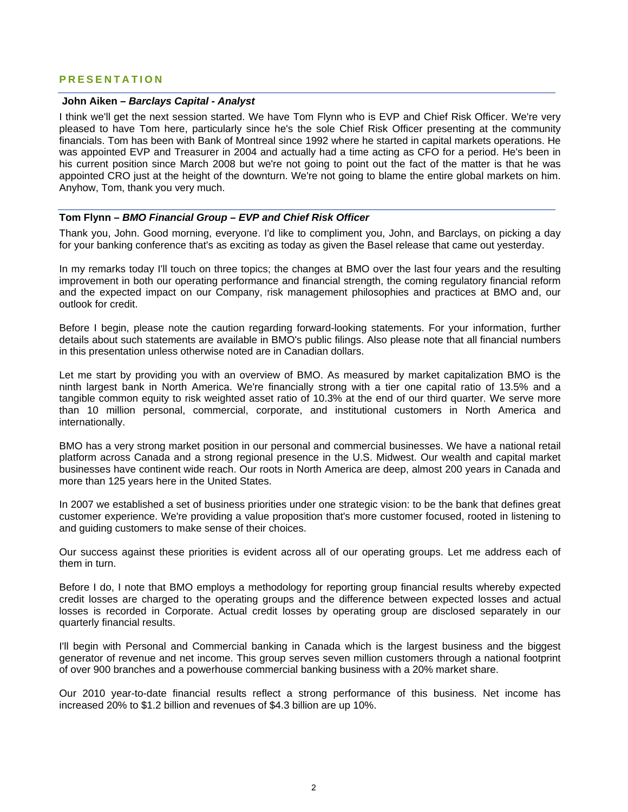# **PRESENTATION**

#### **John Aiken** *– Barclays Capital - Analyst*

I think we'll get the next session started. We have Tom Flynn who is EVP and Chief Risk Officer. We're very pleased to have Tom here, particularly since he's the sole Chief Risk Officer presenting at the community financials. Tom has been with Bank of Montreal since 1992 where he started in capital markets operations. He was appointed EVP and Treasurer in 2004 and actually had a time acting as CFO for a period. He's been in his current position since March 2008 but we're not going to point out the fact of the matter is that he was appointed CRO just at the height of the downturn. We're not going to blame the entire global markets on him. Anyhow, Tom, thank you very much.

#### **Tom Flynn** *– BMO Financial Group – EVP and Chief Risk Officer*

Thank you, John. Good morning, everyone. I'd like to compliment you, John, and Barclays, on picking a day for your banking conference that's as exciting as today as given the Basel release that came out yesterday.

In my remarks today I'll touch on three topics; the changes at BMO over the last four years and the resulting improvement in both our operating performance and financial strength, the coming regulatory financial reform and the expected impact on our Company, risk management philosophies and practices at BMO and, our outlook for credit.

Before I begin, please note the caution regarding forward-looking statements. For your information, further details about such statements are available in BMO's public filings. Also please note that all financial numbers in this presentation unless otherwise noted are in Canadian dollars.

Let me start by providing you with an overview of BMO. As measured by market capitalization BMO is the ninth largest bank in North America. We're financially strong with a tier one capital ratio of 13.5% and a tangible common equity to risk weighted asset ratio of 10.3% at the end of our third quarter. We serve more than 10 million personal, commercial, corporate, and institutional customers in North America and internationally.

BMO has a very strong market position in our personal and commercial businesses. We have a national retail platform across Canada and a strong regional presence in the U.S. Midwest. Our wealth and capital market businesses have continent wide reach. Our roots in North America are deep, almost 200 years in Canada and more than 125 years here in the United States.

In 2007 we established a set of business priorities under one strategic vision: to be the bank that defines great customer experience. We're providing a value proposition that's more customer focused, rooted in listening to and guiding customers to make sense of their choices.

Our success against these priorities is evident across all of our operating groups. Let me address each of them in turn.

Before I do, I note that BMO employs a methodology for reporting group financial results whereby expected credit losses are charged to the operating groups and the difference between expected losses and actual losses is recorded in Corporate. Actual credit losses by operating group are disclosed separately in our quarterly financial results.

I'll begin with Personal and Commercial banking in Canada which is the largest business and the biggest generator of revenue and net income. This group serves seven million customers through a national footprint of over 900 branches and a powerhouse commercial banking business with a 20% market share.

Our 2010 year-to-date financial results reflect a strong performance of this business. Net income has increased 20% to \$1.2 billion and revenues of \$4.3 billion are up 10%.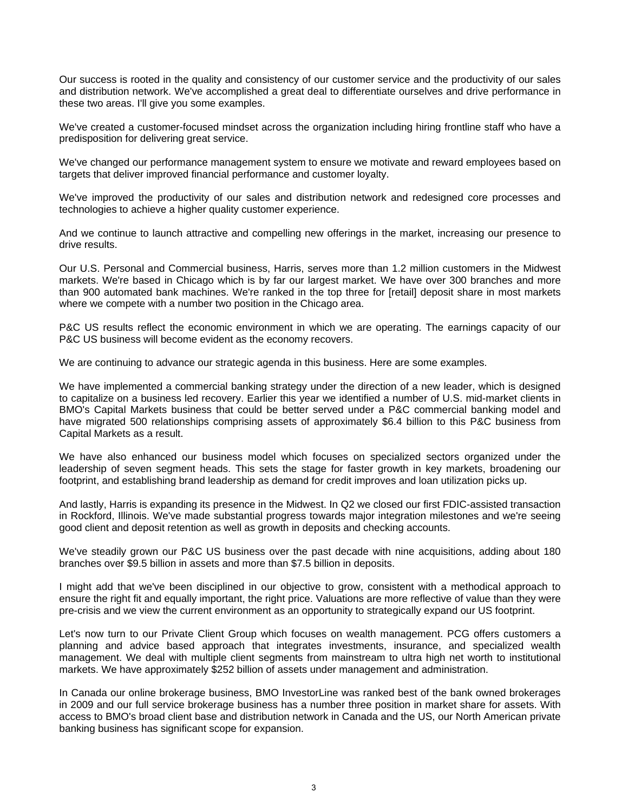Our success is rooted in the quality and consistency of our customer service and the productivity of our sales and distribution network. We've accomplished a great deal to differentiate ourselves and drive performance in these two areas. I'll give you some examples.

We've created a customer-focused mindset across the organization including hiring frontline staff who have a predisposition for delivering great service.

We've changed our performance management system to ensure we motivate and reward employees based on targets that deliver improved financial performance and customer loyalty.

We've improved the productivity of our sales and distribution network and redesigned core processes and technologies to achieve a higher quality customer experience.

And we continue to launch attractive and compelling new offerings in the market, increasing our presence to drive results.

Our U.S. Personal and Commercial business, Harris, serves more than 1.2 million customers in the Midwest markets. We're based in Chicago which is by far our largest market. We have over 300 branches and more than 900 automated bank machines. We're ranked in the top three for [retail] deposit share in most markets where we compete with a number two position in the Chicago area.

P&C US results reflect the economic environment in which we are operating. The earnings capacity of our P&C US business will become evident as the economy recovers.

We are continuing to advance our strategic agenda in this business. Here are some examples.

We have implemented a commercial banking strategy under the direction of a new leader, which is designed to capitalize on a business led recovery. Earlier this year we identified a number of U.S. mid-market clients in BMO's Capital Markets business that could be better served under a P&C commercial banking model and have migrated 500 relationships comprising assets of approximately \$6.4 billion to this P&C business from Capital Markets as a result.

We have also enhanced our business model which focuses on specialized sectors organized under the leadership of seven segment heads. This sets the stage for faster growth in key markets, broadening our footprint, and establishing brand leadership as demand for credit improves and loan utilization picks up.

And lastly, Harris is expanding its presence in the Midwest. In Q2 we closed our first FDIC-assisted transaction in Rockford, Illinois. We've made substantial progress towards major integration milestones and we're seeing good client and deposit retention as well as growth in deposits and checking accounts.

We've steadily grown our P&C US business over the past decade with nine acquisitions, adding about 180 branches over \$9.5 billion in assets and more than \$7.5 billion in deposits.

I might add that we've been disciplined in our objective to grow, consistent with a methodical approach to ensure the right fit and equally important, the right price. Valuations are more reflective of value than they were pre-crisis and we view the current environment as an opportunity to strategically expand our US footprint.

Let's now turn to our Private Client Group which focuses on wealth management. PCG offers customers a planning and advice based approach that integrates investments, insurance, and specialized wealth management. We deal with multiple client segments from mainstream to ultra high net worth to institutional markets. We have approximately \$252 billion of assets under management and administration.

In Canada our online brokerage business, BMO InvestorLine was ranked best of the bank owned brokerages in 2009 and our full service brokerage business has a number three position in market share for assets. With access to BMO's broad client base and distribution network in Canada and the US, our North American private banking business has significant scope for expansion.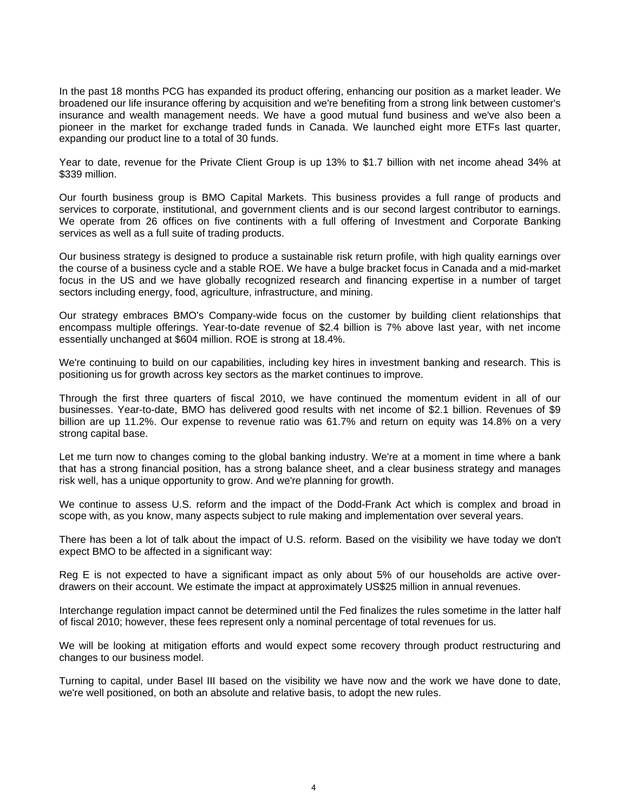In the past 18 months PCG has expanded its product offering, enhancing our position as a market leader. We broadened our life insurance offering by acquisition and we're benefiting from a strong link between customer's insurance and wealth management needs. We have a good mutual fund business and we've also been a pioneer in the market for exchange traded funds in Canada. We launched eight more ETFs last quarter, expanding our product line to a total of 30 funds.

Year to date, revenue for the Private Client Group is up 13% to \$1.7 billion with net income ahead 34% at \$339 million.

Our fourth business group is BMO Capital Markets. This business provides a full range of products and services to corporate, institutional, and government clients and is our second largest contributor to earnings. We operate from 26 offices on five continents with a full offering of Investment and Corporate Banking services as well as a full suite of trading products.

Our business strategy is designed to produce a sustainable risk return profile, with high quality earnings over the course of a business cycle and a stable ROE. We have a bulge bracket focus in Canada and a mid-market focus in the US and we have globally recognized research and financing expertise in a number of target sectors including energy, food, agriculture, infrastructure, and mining.

Our strategy embraces BMO's Company-wide focus on the customer by building client relationships that encompass multiple offerings. Year-to-date revenue of \$2.4 billion is 7% above last year, with net income essentially unchanged at \$604 million. ROE is strong at 18.4%.

We're continuing to build on our capabilities, including key hires in investment banking and research. This is positioning us for growth across key sectors as the market continues to improve.

Through the first three quarters of fiscal 2010, we have continued the momentum evident in all of our businesses. Year-to-date, BMO has delivered good results with net income of \$2.1 billion. Revenues of \$9 billion are up 11.2%. Our expense to revenue ratio was 61.7% and return on equity was 14.8% on a very strong capital base.

Let me turn now to changes coming to the global banking industry. We're at a moment in time where a bank that has a strong financial position, has a strong balance sheet, and a clear business strategy and manages risk well, has a unique opportunity to grow. And we're planning for growth.

We continue to assess U.S. reform and the impact of the Dodd-Frank Act which is complex and broad in scope with, as you know, many aspects subject to rule making and implementation over several years.

There has been a lot of talk about the impact of U.S. reform. Based on the visibility we have today we don't expect BMO to be affected in a significant way:

Reg E is not expected to have a significant impact as only about 5% of our households are active overdrawers on their account. We estimate the impact at approximately US\$25 million in annual revenues.

Interchange regulation impact cannot be determined until the Fed finalizes the rules sometime in the latter half of fiscal 2010; however, these fees represent only a nominal percentage of total revenues for us.

We will be looking at mitigation efforts and would expect some recovery through product restructuring and changes to our business model.

Turning to capital, under Basel III based on the visibility we have now and the work we have done to date, we're well positioned, on both an absolute and relative basis, to adopt the new rules.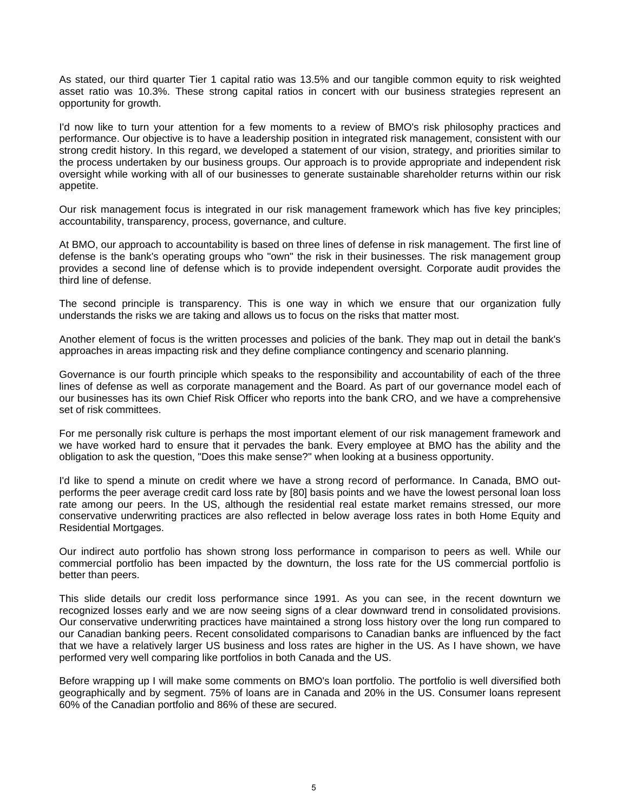As stated, our third quarter Tier 1 capital ratio was 13.5% and our tangible common equity to risk weighted asset ratio was 10.3%. These strong capital ratios in concert with our business strategies represent an opportunity for growth.

I'd now like to turn your attention for a few moments to a review of BMO's risk philosophy practices and performance. Our objective is to have a leadership position in integrated risk management, consistent with our strong credit history. In this regard, we developed a statement of our vision, strategy, and priorities similar to the process undertaken by our business groups. Our approach is to provide appropriate and independent risk oversight while working with all of our businesses to generate sustainable shareholder returns within our risk appetite.

Our risk management focus is integrated in our risk management framework which has five key principles; accountability, transparency, process, governance, and culture.

At BMO, our approach to accountability is based on three lines of defense in risk management. The first line of defense is the bank's operating groups who "own" the risk in their businesses. The risk management group provides a second line of defense which is to provide independent oversight. Corporate audit provides the third line of defense.

The second principle is transparency. This is one way in which we ensure that our organization fully understands the risks we are taking and allows us to focus on the risks that matter most.

Another element of focus is the written processes and policies of the bank. They map out in detail the bank's approaches in areas impacting risk and they define compliance contingency and scenario planning.

Governance is our fourth principle which speaks to the responsibility and accountability of each of the three lines of defense as well as corporate management and the Board. As part of our governance model each of our businesses has its own Chief Risk Officer who reports into the bank CRO, and we have a comprehensive set of risk committees.

For me personally risk culture is perhaps the most important element of our risk management framework and we have worked hard to ensure that it pervades the bank. Every employee at BMO has the ability and the obligation to ask the question, "Does this make sense?" when looking at a business opportunity.

I'd like to spend a minute on credit where we have a strong record of performance. In Canada, BMO outperforms the peer average credit card loss rate by [80] basis points and we have the lowest personal loan loss rate among our peers. In the US, although the residential real estate market remains stressed, our more conservative underwriting practices are also reflected in below average loss rates in both Home Equity and Residential Mortgages.

Our indirect auto portfolio has shown strong loss performance in comparison to peers as well. While our commercial portfolio has been impacted by the downturn, the loss rate for the US commercial portfolio is better than peers.

This slide details our credit loss performance since 1991. As you can see, in the recent downturn we recognized losses early and we are now seeing signs of a clear downward trend in consolidated provisions. Our conservative underwriting practices have maintained a strong loss history over the long run compared to our Canadian banking peers. Recent consolidated comparisons to Canadian banks are influenced by the fact that we have a relatively larger US business and loss rates are higher in the US. As I have shown, we have performed very well comparing like portfolios in both Canada and the US.

Before wrapping up I will make some comments on BMO's loan portfolio. The portfolio is well diversified both geographically and by segment. 75% of loans are in Canada and 20% in the US. Consumer loans represent 60% of the Canadian portfolio and 86% of these are secured.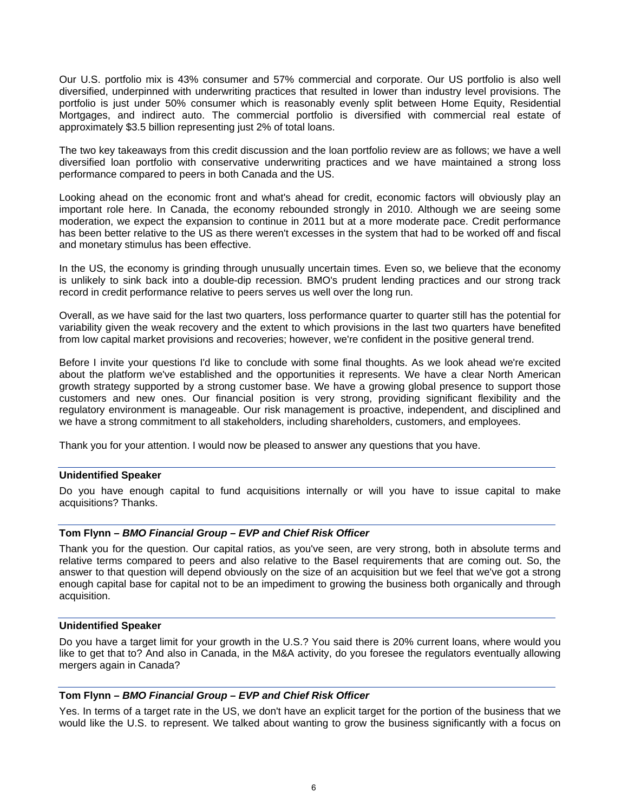Our U.S. portfolio mix is 43% consumer and 57% commercial and corporate. Our US portfolio is also well diversified, underpinned with underwriting practices that resulted in lower than industry level provisions. The portfolio is just under 50% consumer which is reasonably evenly split between Home Equity, Residential Mortgages, and indirect auto. The commercial portfolio is diversified with commercial real estate of approximately \$3.5 billion representing just 2% of total loans.

The two key takeaways from this credit discussion and the loan portfolio review are as follows; we have a well diversified loan portfolio with conservative underwriting practices and we have maintained a strong loss performance compared to peers in both Canada and the US.

Looking ahead on the economic front and what's ahead for credit, economic factors will obviously play an important role here. In Canada, the economy rebounded strongly in 2010. Although we are seeing some moderation, we expect the expansion to continue in 2011 but at a more moderate pace. Credit performance has been better relative to the US as there weren't excesses in the system that had to be worked off and fiscal and monetary stimulus has been effective.

In the US, the economy is grinding through unusually uncertain times. Even so, we believe that the economy is unlikely to sink back into a double-dip recession. BMO's prudent lending practices and our strong track record in credit performance relative to peers serves us well over the long run.

Overall, as we have said for the last two quarters, loss performance quarter to quarter still has the potential for variability given the weak recovery and the extent to which provisions in the last two quarters have benefited from low capital market provisions and recoveries; however, we're confident in the positive general trend.

Before I invite your questions I'd like to conclude with some final thoughts. As we look ahead we're excited about the platform we've established and the opportunities it represents. We have a clear North American growth strategy supported by a strong customer base. We have a growing global presence to support those customers and new ones. Our financial position is very strong, providing significant flexibility and the regulatory environment is manageable. Our risk management is proactive, independent, and disciplined and we have a strong commitment to all stakeholders, including shareholders, customers, and employees.

Thank you for your attention. I would now be pleased to answer any questions that you have.

## **Unidentified Speaker**

Do you have enough capital to fund acquisitions internally or will you have to issue capital to make acquisitions? Thanks.

## **Tom Flynn** *– BMO Financial Group – EVP and Chief Risk Officer*

Thank you for the question. Our capital ratios, as you've seen, are very strong, both in absolute terms and relative terms compared to peers and also relative to the Basel requirements that are coming out. So, the answer to that question will depend obviously on the size of an acquisition but we feel that we've got a strong enough capital base for capital not to be an impediment to growing the business both organically and through acquisition.

## **Unidentified Speaker**

Do you have a target limit for your growth in the U.S.? You said there is 20% current loans, where would you like to get that to? And also in Canada, in the M&A activity, do you foresee the regulators eventually allowing mergers again in Canada?

#### **Tom Flynn** *– BMO Financial Group – EVP and Chief Risk Officer*

Yes. In terms of a target rate in the US, we don't have an explicit target for the portion of the business that we would like the U.S. to represent. We talked about wanting to grow the business significantly with a focus on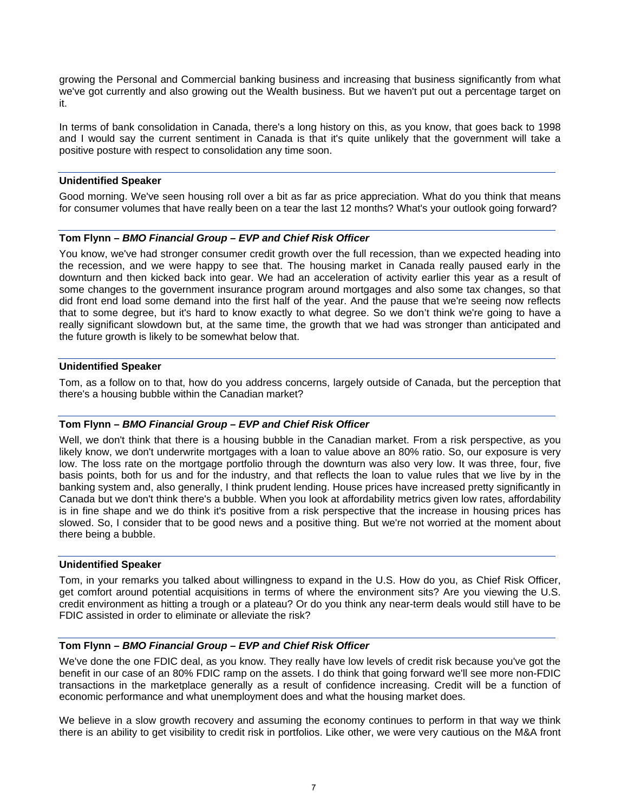growing the Personal and Commercial banking business and increasing that business significantly from what we've got currently and also growing out the Wealth business. But we haven't put out a percentage target on it.

In terms of bank consolidation in Canada, there's a long history on this, as you know, that goes back to 1998 and I would say the current sentiment in Canada is that it's quite unlikely that the government will take a positive posture with respect to consolidation any time soon.

## **Unidentified Speaker**

Good morning. We've seen housing roll over a bit as far as price appreciation. What do you think that means for consumer volumes that have really been on a tear the last 12 months? What's your outlook going forward?

# **Tom Flynn** *– BMO Financial Group – EVP and Chief Risk Officer*

You know, we've had stronger consumer credit growth over the full recession, than we expected heading into the recession, and we were happy to see that. The housing market in Canada really paused early in the downturn and then kicked back into gear. We had an acceleration of activity earlier this year as a result of some changes to the government insurance program around mortgages and also some tax changes, so that did front end load some demand into the first half of the year. And the pause that we're seeing now reflects that to some degree, but it's hard to know exactly to what degree. So we don't think we're going to have a really significant slowdown but, at the same time, the growth that we had was stronger than anticipated and the future growth is likely to be somewhat below that.

## **Unidentified Speaker**

Tom, as a follow on to that, how do you address concerns, largely outside of Canada, but the perception that there's a housing bubble within the Canadian market?

## **Tom Flynn** *– BMO Financial Group – EVP and Chief Risk Officer*

Well, we don't think that there is a housing bubble in the Canadian market. From a risk perspective, as you likely know, we don't underwrite mortgages with a loan to value above an 80% ratio. So, our exposure is very low. The loss rate on the mortgage portfolio through the downturn was also very low. It was three, four, five basis points, both for us and for the industry, and that reflects the loan to value rules that we live by in the banking system and, also generally, I think prudent lending. House prices have increased pretty significantly in Canada but we don't think there's a bubble. When you look at affordability metrics given low rates, affordability is in fine shape and we do think it's positive from a risk perspective that the increase in housing prices has slowed. So, I consider that to be good news and a positive thing. But we're not worried at the moment about there being a bubble.

## **Unidentified Speaker**

Tom, in your remarks you talked about willingness to expand in the U.S. How do you, as Chief Risk Officer, get comfort around potential acquisitions in terms of where the environment sits? Are you viewing the U.S. credit environment as hitting a trough or a plateau? Or do you think any near-term deals would still have to be FDIC assisted in order to eliminate or alleviate the risk?

# **Tom Flynn** *– BMO Financial Group – EVP and Chief Risk Officer*

We've done the one FDIC deal, as you know. They really have low levels of credit risk because you've got the benefit in our case of an 80% FDIC ramp on the assets. I do think that going forward we'll see more non-FDIC transactions in the marketplace generally as a result of confidence increasing. Credit will be a function of economic performance and what unemployment does and what the housing market does.

We believe in a slow growth recovery and assuming the economy continues to perform in that way we think there is an ability to get visibility to credit risk in portfolios. Like other, we were very cautious on the M&A front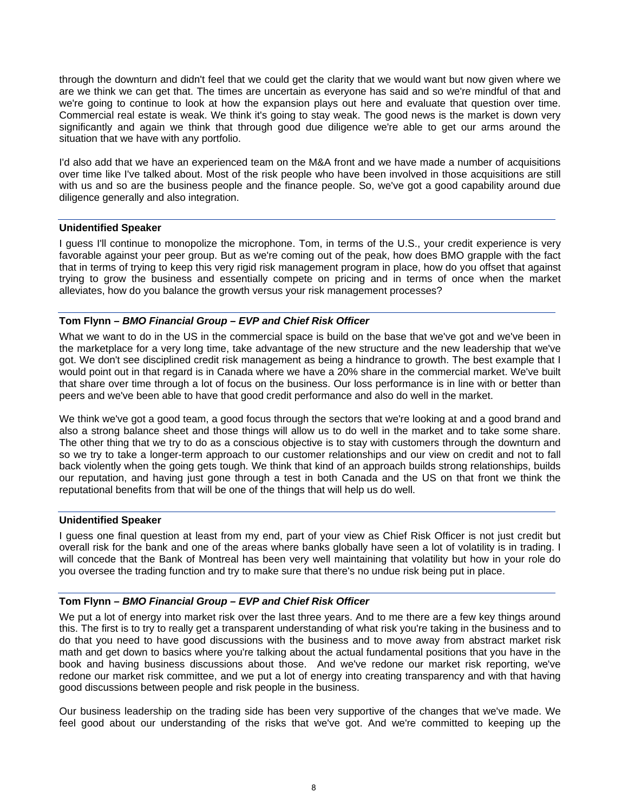through the downturn and didn't feel that we could get the clarity that we would want but now given where we are we think we can get that. The times are uncertain as everyone has said and so we're mindful of that and we're going to continue to look at how the expansion plays out here and evaluate that question over time. Commercial real estate is weak. We think it's going to stay weak. The good news is the market is down very significantly and again we think that through good due diligence we're able to get our arms around the situation that we have with any portfolio.

I'd also add that we have an experienced team on the M&A front and we have made a number of acquisitions over time like I've talked about. Most of the risk people who have been involved in those acquisitions are still with us and so are the business people and the finance people. So, we've got a good capability around due diligence generally and also integration.

## **Unidentified Speaker**

I guess I'll continue to monopolize the microphone. Tom, in terms of the U.S., your credit experience is very favorable against your peer group. But as we're coming out of the peak, how does BMO grapple with the fact that in terms of trying to keep this very rigid risk management program in place, how do you offset that against trying to grow the business and essentially compete on pricing and in terms of once when the market alleviates, how do you balance the growth versus your risk management processes?

# **Tom Flynn** *– BMO Financial Group – EVP and Chief Risk Officer*

What we want to do in the US in the commercial space is build on the base that we've got and we've been in the marketplace for a very long time, take advantage of the new structure and the new leadership that we've got. We don't see disciplined credit risk management as being a hindrance to growth. The best example that I would point out in that regard is in Canada where we have a 20% share in the commercial market. We've built that share over time through a lot of focus on the business. Our loss performance is in line with or better than peers and we've been able to have that good credit performance and also do well in the market.

We think we've got a good team, a good focus through the sectors that we're looking at and a good brand and also a strong balance sheet and those things will allow us to do well in the market and to take some share. The other thing that we try to do as a conscious objective is to stay with customers through the downturn and so we try to take a longer-term approach to our customer relationships and our view on credit and not to fall back violently when the going gets tough. We think that kind of an approach builds strong relationships, builds our reputation, and having just gone through a test in both Canada and the US on that front we think the reputational benefits from that will be one of the things that will help us do well.

## **Unidentified Speaker**

I guess one final question at least from my end, part of your view as Chief Risk Officer is not just credit but overall risk for the bank and one of the areas where banks globally have seen a lot of volatility is in trading. I will concede that the Bank of Montreal has been very well maintaining that volatility but how in your role do you oversee the trading function and try to make sure that there's no undue risk being put in place.

## **Tom Flynn** *– BMO Financial Group – EVP and Chief Risk Officer*

We put a lot of energy into market risk over the last three years. And to me there are a few key things around this. The first is to try to really get a transparent understanding of what risk you're taking in the business and to do that you need to have good discussions with the business and to move away from abstract market risk math and get down to basics where you're talking about the actual fundamental positions that you have in the book and having business discussions about those. And we've redone our market risk reporting, we've redone our market risk committee, and we put a lot of energy into creating transparency and with that having good discussions between people and risk people in the business.

Our business leadership on the trading side has been very supportive of the changes that we've made. We feel good about our understanding of the risks that we've got. And we're committed to keeping up the